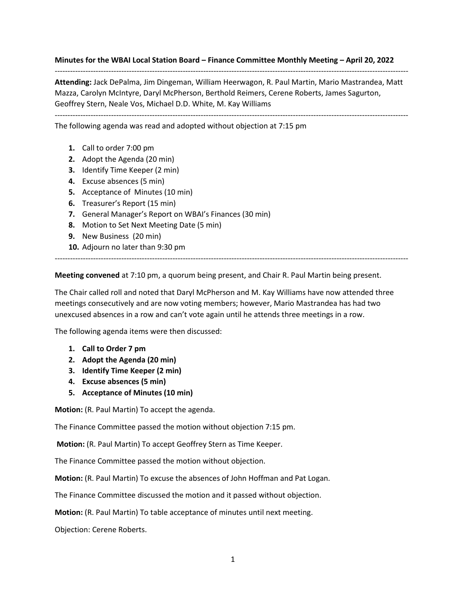**Minutes for the WBAI Local Station Board – Finance Committee Monthly Meeting – April 20, 2022**

**Attending:** Jack DePalma, Jim Dingeman, William Heerwagon, R. Paul Martin, Mario Mastrandea, Matt Mazza, Carolyn McIntyre, Daryl McPherson, Berthold Reimers, Cerene Roberts, James Sagurton, Geoffrey Stern, Neale Vos, Michael D.D. White, M. Kay Williams

------------------------------------------------------------------------------------------------------------------------------------------

------------------------------------------------------------------------------------------------------------------------------------------

The following agenda was read and adopted without objection at 7:15 pm

- **1.** Call to order 7:00 pm
- **2.** Adopt the Agenda (20 min)
- **3.** Identify Time Keeper (2 min)
- **4.** Excuse absences (5 min)
- **5.** Acceptance of Minutes (10 min)
- **6.** Treasurer's Report (15 min)
- **7.** General Manager's Report on WBAI's Finances (30 min)
- **8.** Motion to Set Next Meeting Date (5 min)
- **9.** New Business (20 min)
- **10.** Adjourn no later than 9:30 pm

**Meeting convened** at 7:10 pm, a quorum being present, and Chair R. Paul Martin being present.

The Chair called roll and noted that Daryl McPherson and M. Kay Williams have now attended three meetings consecutively and are now voting members; however, Mario Mastrandea has had two unexcused absences in a row and can't vote again until he attends three meetings in a row.

------------------------------------------------------------------------------------------------------------------------------------------

The following agenda items were then discussed:

- **1. Call to Order 7 pm**
- **2. Adopt the Agenda (20 min)**
- **3. Identify Time Keeper (2 min)**
- **4. Excuse absences (5 min)**
- **5. Acceptance of Minutes (10 min)**

**Motion:** (R. Paul Martin) To accept the agenda.

The Finance Committee passed the motion without objection 7:15 pm.

**Motion:** (R. Paul Martin) To accept Geoffrey Stern as Time Keeper.

The Finance Committee passed the motion without objection.

**Motion:** (R. Paul Martin) To excuse the absences of John Hoffman and Pat Logan.

The Finance Committee discussed the motion and it passed without objection.

**Motion:** (R. Paul Martin) To table acceptance of minutes until next meeting.

Objection: Cerene Roberts.